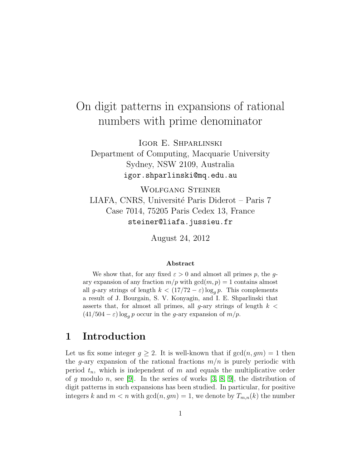# On digit patterns in expansions of rational numbers with prime denominator

Igor E. Shparlinski

Department of Computing, Macquarie University Sydney, NSW 2109, Australia igor.shparlinski@mq.edu.au

Wolfgang Steiner LIAFA, CNRS, Université Paris Diderot – Paris 7 Case 7014, 75205 Paris Cedex 13, France steiner@liafa.jussieu.fr

August 24, 2012

#### Abstract

We show that, for any fixed  $\varepsilon > 0$  and almost all primes p, the qary expansion of any fraction  $m/p$  with  $gcd(m, p) = 1$  contains almost all g-ary strings of length  $k < (17/72 - \varepsilon) \log_a p$ . This complements a result of J. Bourgain, S. V. Konyagin, and I. E. Shparlinski that asserts that, for almost all primes, all g-ary strings of length  $k <$  $(41/504 - \varepsilon) \log_g p$  occur in the g-ary expansion of  $m/p$ .

### 1 Introduction

Let us fix some integer  $g \geq 2$ . It is well-known that if  $gcd(n, gm) = 1$  then the g-ary expansion of the rational fractions  $m/n$  is purely periodic with period  $t_n$ , which is independent of m and equals the multiplicative order of g modulo n, see [\[9\]](#page-9-0). In the series of works  $[3, 8, 9]$  $[3, 8, 9]$  $[3, 8, 9]$ , the distribution of digit patterns in such expansions has been studied. In particular, for positive integers k and  $m < n$  with  $gcd(n, gm) = 1$ , we denote by  $T_{m,n}(k)$  the number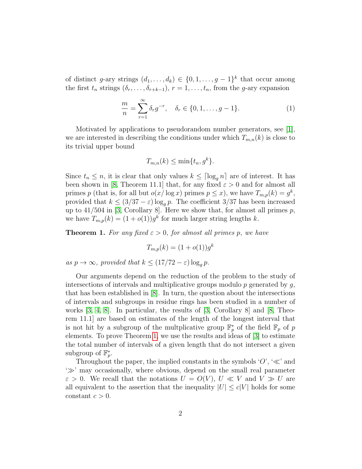of distinct g-ary strings  $(d_1, \ldots, d_k) \in \{0, 1, \ldots, g-1\}^k$  that occur among the first  $t_n$  strings  $(\delta_r, \ldots, \delta_{r+k-1}), r = 1, \ldots, t_n$ , from the g-ary expansion

<span id="page-1-1"></span>
$$
\frac{m}{n} = \sum_{r=1}^{\infty} \delta_r g^{-r}, \quad \delta_r \in \{0, 1, \dots, g-1\}.
$$
 (1)

Motivated by applications to pseudorandom number generators, see [\[1\]](#page-8-1), we are interested in describing the conditions under which  $T_{m,n}(k)$  is close to its trivial upper bound

$$
T_{m,n}(k) \le \min\{t_n, g^k\}.
$$

Since  $t_n \leq n$ , it is clear that only values  $k \leq \lceil \log_a n \rceil$  are of interest. It has been shown in [\[8,](#page-9-1) Theorem 11.1] that, for any fixed  $\varepsilon > 0$  and for almost all primes p (that is, for all but  $o(x/\log x)$  primes  $p \leq x$ ), we have  $T_{m,p}(k) = g^k$ , provided that  $k \leq (3/37 - \varepsilon) \log_a p$ . The coefficient 3/37 has been increased up to  $41/504$  in [\[3,](#page-8-0) Corollary 8]. Here we show that, for almost all primes p, we have  $T_{m,p}(k) = (1+o(1))g^k$  for much larger string lengths k.

<span id="page-1-0"></span>**Theorem 1.** For any fixed  $\varepsilon > 0$ , for almost all primes p, we have

$$
T_{m,p}(k) = (1 + o(1))g^k
$$

as  $p \to \infty$ , provided that  $k \leq (17/72 - \varepsilon) \log_q p$ .

Our arguments depend on the reduction of the problem to the study of intersections of intervals and multiplicative groups modulo  $p$  generated by  $q$ , that has been established in [\[8\]](#page-9-1). In turn, the question about the intersections of intervals and subgroups in residue rings has been studied in a number of works  $[3, 4, 8]$  $[3, 4, 8]$  $[3, 4, 8]$ . In particular, the results of  $[3, Corollary 8]$  and  $[8, Theo [8, Theo$ rem 11.1] are based on estimates of the length of the longest interval that is not hit by a subgroup of the multplicative group  $\mathbb{F}_p^*$  of the field  $\mathbb{F}_p$  of p elements. To prove Theorem [1,](#page-1-0) we use the results and ideas of [\[3\]](#page-8-0) to estimate the total number of intervals of a given length that do not intersect a given subgroup of  $\mathbb{F}_p^*$ .

Throughout the paper, the implied constants in the symbols  $\langle O',\mathcal{H}\rangle$  and  $\gg$  may occasionally, where obvious, depend on the small real parameter  $\varepsilon > 0$ . We recall that the notations  $U = O(V)$ ,  $U \ll V$  and  $V \gg U$  are all equivalent to the assertion that the inequality  $|U| \leq c|V|$  holds for some constant  $c > 0$ .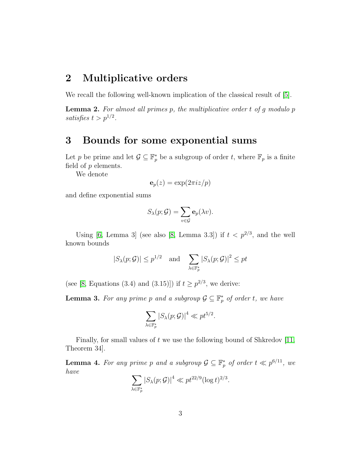### 2 Multiplicative orders

We recall the following well-known implication of the classical result of [\[5\]](#page-9-3).

<span id="page-2-3"></span>**Lemma 2.** For almost all primes  $p$ , the multiplicative order  $t$  of  $g$  modulo  $p$ satisfies  $t > p^{1/2}$ .

### <span id="page-2-0"></span>3 Bounds for some exponential sums

Let p be prime and let  $\mathcal{G} \subseteq \mathbb{F}_p^*$  be a subgroup of order t, where  $\mathbb{F}_p$  is a finite field of  $p$  elements.

We denote

$$
\mathbf{e}_p(z) = \exp(2\pi i z/p)
$$

and define exponential sums

$$
S_{\lambda}(p; \mathcal{G}) = \sum_{v \in \mathcal{G}} \mathbf{e}_p(\lambda v).
$$

Using [\[6,](#page-9-4) Lemma 3] (see also [\[8,](#page-9-1) Lemma 3.3]) if  $t < p^{2/3}$ , and the well known bounds

$$
|S_{\lambda}(p; \mathcal{G})| \leq p^{1/2}
$$
 and  $\sum_{\lambda \in \mathbb{F}_p^*} |S_{\lambda}(p; \mathcal{G})|^2 \leq pt$ 

(see [\[8,](#page-9-1) Equations (3.4) and (3.15)]) if  $t \geq p^{2/3}$ , we derive:

<span id="page-2-1"></span>**Lemma 3.** For any prime p and a subgroup  $\mathcal{G} \subseteq \mathbb{F}_p^*$  of order t, we have

$$
\sum_{\lambda \in \mathbb{F}_p^*} |S_{\lambda}(p; \mathcal{G})|^4 \ll p t^{5/2}.
$$

Finally, for small values of  $t$  we use the following bound of Shkredov [\[11,](#page-9-5) Theorem 34].

<span id="page-2-2"></span>**Lemma 4.** For any prime p and a subgroup  $\mathcal{G} \subseteq \mathbb{F}_p^*$  of order  $t \ll p^{6/11}$ , we have

$$
\sum_{\lambda \in \mathbb{F}_p^*} |S_{\lambda}(p; \mathcal{G})|^4 \ll p t^{22/9} (\log t)^{2/3}.
$$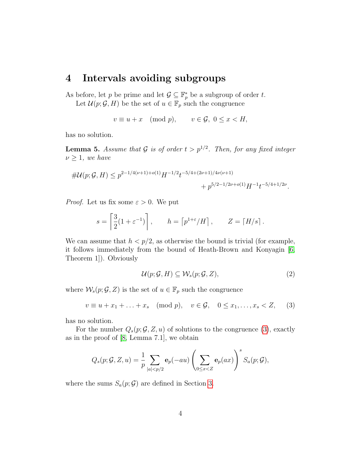## 4 Intervals avoiding subgroups

As before, let p be prime and let  $\mathcal{G} \subseteq \mathbb{F}_p^*$  be a subgroup of order t.

Let  $\mathcal{U}(p; \mathcal{G}, H)$  be the set of  $u \in \mathbb{F}_p$  such the congruence

$$
v \equiv u + x \pmod{p}, \qquad v \in \mathcal{G}, \ 0 \le x < H,
$$

has no solution.

<span id="page-3-2"></span>**Lemma 5.** Assume that G is of order  $t > p^{1/2}$ . Then, for any fixed integer  $\nu \geq 1$ , we have

$$
\#U(p; \mathcal{G}, H) \le p^{2-1/4(\nu+1)+o(1)} H^{-1/2} t^{-5/4+(2\nu+1)/4\nu(\nu+1)} + p^{5/2-1/2\nu+o(1)} H^{-1} t^{-5/4+1/2\nu}.
$$

*Proof.* Let us fix some  $\varepsilon > 0$ . We put

$$
s = \left[\frac{3}{2}(1+\varepsilon^{-1})\right], \qquad h = \left[p^{1+\varepsilon}/H\right], \qquad Z = \left\lceil H/s\right\rceil.
$$

We can assume that  $h < p/2$ , as otherwise the bound is trivial (for example, it follows immediately from the bound of Heath-Brown and Konyagin [\[6,](#page-9-4) Theorem 1]). Obviously

<span id="page-3-1"></span>
$$
\mathcal{U}(p; \mathcal{G}, H) \subseteq \mathcal{W}_s(p; \mathcal{G}, Z), \tag{2}
$$

where  $\mathcal{W}_s(p; \mathcal{G}, Z)$  is the set of  $u \in \mathbb{F}_p$  such the congruence

<span id="page-3-0"></span>
$$
v \equiv u + x_1 + \ldots + x_s \pmod{p}, \quad v \in \mathcal{G}, \quad 0 \le x_1, \ldots, x_s < Z,\tag{3}
$$

has no solution.

For the number  $Q_s(p; \mathcal{G}, Z, u)$  of solutions to the congruence [\(3\)](#page-3-0), exactly as in the proof of [\[8,](#page-9-1) Lemma 7.1], we obtain

$$
Q_s(p; \mathcal{G}, Z, u) = \frac{1}{p} \sum_{|a| < p/2} \mathbf{e}_p(-au) \left( \sum_{0 \le x < Z} \mathbf{e}_p(ax) \right)^s S_a(p; \mathcal{G}),
$$

where the sums  $S_a(p; \mathcal{G})$  are defined in Section [3.](#page-2-0)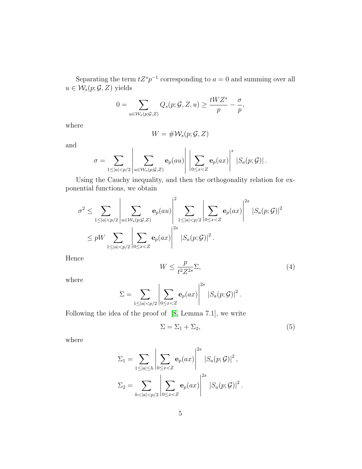Separating the term  $tZ^s p^{-1}$  corresponding to  $a = 0$  and summing over all  $u \in \mathcal{W}_s(p; \mathcal{G}, Z)$  yields

$$
0 = \sum_{u \in \mathcal{W}_s(p; \mathcal{G}, Z)} Q_s(p; \mathcal{G}, Z, u) \ge \frac{tWZ^s}{p} - \frac{\sigma}{p},
$$

where

$$
W = \# \mathcal{W}_s(p; \mathcal{G}, Z)
$$

and

$$
\sigma = \sum_{1 \leq |a| < p/2} \left| \sum_{u \in \mathcal{W}_s(p;\mathcal{G},\mathcal{Z})} \mathbf{e}_p(au) \right| \left| \sum_{0 \leq x < \mathcal{Z}} \mathbf{e}_p(ax) \right|^s \left| S_a(p;\mathcal{G}) \right|.
$$

Using the Cauchy inequality, and then the orthogonality relation for exponential functions, we obtain

$$
\sigma^2 \leq \sum_{1 \leq |a| < p/2} \left| \sum_{u \in \mathcal{W}_s(p;\mathcal{G},Z)} \mathbf{e}_p(au) \right|^2 \sum_{1 \leq |a| < p/2} \left| \sum_{0 \leq x < Z} \mathbf{e}_p(ax) \right|^{2s} \left| S_a(p;\mathcal{G}) \right|^2
$$
\n
$$
\leq pW \sum_{1 \leq |a| < p/2} \left| \sum_{0 \leq x < Z} \mathbf{e}_p(ax) \right|^{2s} \left| S_a(p;\mathcal{G}) \right|^2.
$$

Hence

<span id="page-4-0"></span>
$$
W \le \frac{p}{t^2 Z^{2s}} \Sigma,\tag{4}
$$

where

$$
\Sigma = \sum_{1 \le |a| < p/2} \left| \sum_{0 \le x < Z} \mathbf{e}_p(ax) \right|^{2s} \left| S_a(p; \mathcal{G}) \right|^2.
$$

Following the idea of the proof of [\[8,](#page-9-1) Lemma 7.1], we write

<span id="page-4-1"></span>
$$
\Sigma = \Sigma_1 + \Sigma_2,\tag{5}
$$

where

$$
\Sigma_1 = \sum_{1 \le |a| \le h} \left| \sum_{0 \le x < Z} \mathbf{e}_p(ax) \right|^{2s} |S_a(p; \mathcal{G})|^2,
$$
\n
$$
\Sigma_2 = \sum_{h < |a| < p/2} \left| \sum_{0 \le x < Z} \mathbf{e}_p(ax) \right|^{2s} |S_a(p; \mathcal{G})|^2.
$$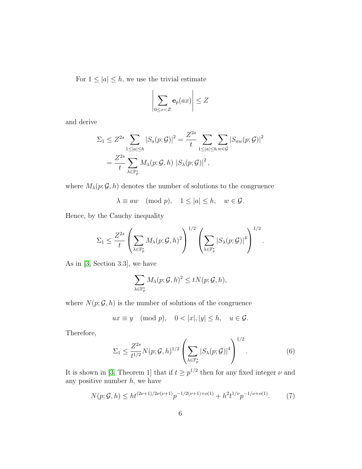For  $1 \leq |a| \leq h$ , we use the trivial estimate

$$
\left|\sum_{0\leq x
$$

and derive

$$
\Sigma_1 \leq Z^{2s} \sum_{1 \leq |a| \leq h} |S_a(p; \mathcal{G})|^2 = \frac{Z^{2s}}{t} \sum_{1 \leq |a| \leq h} \sum_{w \in \mathcal{G}} |S_{aw}(p; \mathcal{G})|^2
$$
  
= 
$$
\frac{Z^{2s}}{t} \sum_{\lambda \in \mathbb{F}_p^*} M_{\lambda}(p; \mathcal{G}, h) |S_{\lambda}(p; \mathcal{G})|^2,
$$

where  $M_{\lambda}(p; \mathcal{G}, h)$  denotes the number of solutions to the congruence

$$
\lambda \equiv aw \pmod{p}, \quad 1 \le |a| \le h, \quad w \in \mathcal{G}.
$$

Hence, by the Cauchy inequality

$$
\Sigma_1 \leq \frac{Z^{2s}}{t} \left( \sum_{\lambda \in \mathbb{F}_p^*} M_{\lambda}(p; \mathcal{G}, h)^2 \right)^{1/2} \left( \sum_{\lambda \in \mathbb{F}_p^*} |S_{\lambda}(p; \mathcal{G})|^4 \right)^{1/2}.
$$

As in [\[3,](#page-8-0) Section 3.3], we have

$$
\sum_{\lambda \in \mathbb{F}_p^*} M_{\lambda}(p; \mathcal{G}, h)^2 \le t N(p; \mathcal{G}, h),
$$

where  $N(p; \mathcal{G}, h)$  is the number of solutions of the congruence

$$
ux \equiv y \pmod{p}, \quad 0 < |x|, |y| \le h, \quad u \in \mathcal{G}.
$$

Therefore,

<span id="page-5-1"></span>
$$
\Sigma_1 \le \frac{Z^{2s}}{t^{1/2}} N(p; \mathcal{G}, h)^{1/2} \left( \sum_{\lambda \in \mathbb{F}_p^*} |S_{\lambda}(p; \mathcal{G})|^4 \right)^{1/2}.
$$
 (6)

It is shown in [\[3,](#page-8-0) Theorem 1] that if  $t \geq p^{1/2}$  then for any fixed integer  $\nu$  and any positive number  $h$ , we have

<span id="page-5-0"></span>
$$
N(p; \mathcal{G}, h) \le h t^{(2\nu+1)/2\nu(\nu+1)} p^{-1/2(\nu+1) + o(1)} + h^2 t^{1/\nu} p^{-1/\nu + o(1)}.
$$
 (7)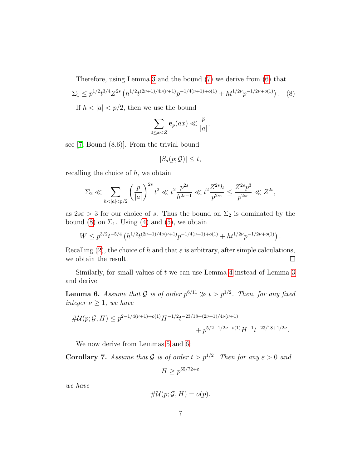<span id="page-6-0"></span>Therefore, using Lemma [3](#page-2-1) and the bound [\(7\)](#page-5-0) we derive from [\(6\)](#page-5-1) that  $\Sigma_1 \leq p^{1/2} t^{3/4} Z^{2s} \left( h^{1/2} t^{(2\nu+1)/4\nu(\nu+1)} p^{-1/4(\nu+1)+o(1)} + h t^{1/2\nu} p^{-1/2\nu+o(1)} \right).$  (8)

If  $h < |a| < p/2$ , then we use the bound

$$
\sum_{0\leq x
$$

see [\[7,](#page-9-6) Bound (8.6)]. From the trivial bound

$$
|S_a(p; \mathcal{G})| \le t,
$$

recalling the choice of  $h$ , we obtain

$$
\Sigma_2 \ll \sum_{h < |a| < p/2} \left(\frac{p}{|a|}\right)^{2s} t^2 \ll t^2 \frac{p^{2s}}{h^{2s-1}} \ll t^2 \frac{Z^{2s} h}{p^{2s\varepsilon}} \le \frac{Z^{2s} p^3}{p^{2s\varepsilon}} \ll Z^{2s},
$$

as  $2s\epsilon > 3$  for our choice of s. Thus the bound on  $\Sigma_2$  is dominated by the bound [\(8\)](#page-6-0) on  $\Sigma_1$ . Using [\(4\)](#page-4-0) and [\(5\)](#page-4-1), we obtain

$$
W \le p^{3/2} t^{-5/4} \left( h^{1/2} t^{(2\nu+1)/4\nu(\nu+1)} p^{-1/4(\nu+1)+o(1)} + h t^{1/2\nu} p^{-1/2\nu+o(1)} \right).
$$

Recalling [\(2\)](#page-3-1), the choice of h and that  $\varepsilon$  is arbitrary, after simple calculations, we obtain the result.  $\Box$ 

Similarly, for small values of  $t$  we can use Lemma [4](#page-2-2) instead of Lemma [3](#page-2-1) and derive

<span id="page-6-1"></span>**Lemma 6.** Assume that G is of order  $p^{6/11} \gg t > p^{1/2}$ . Then, for any fixed integer  $\nu \geq 1$ , we have

$$
\#U(p; \mathcal{G}, H) \le p^{2-1/4(\nu+1)+o(1)} H^{-1/2} t^{-23/18 + (2\nu+1)/4\nu(\nu+1)} + p^{5/2-1/2\nu+o(1)} H^{-1} t^{-23/18+1/2\nu}.
$$

We now derive from Lemmas [5](#page-3-2) and [6:](#page-6-1)

<span id="page-6-2"></span>**Corollary 7.** Assume that G is of order  $t > p^{1/2}$ . Then for any  $\varepsilon > 0$  and

$$
H \ge p^{55/72 + \varepsilon}
$$

we have

$$
\# \mathcal{U}(p; \mathcal{G}, H) = o(p).
$$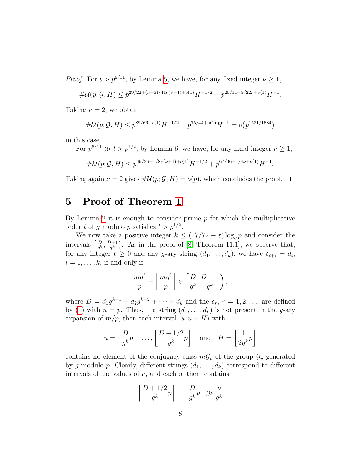*Proof.* For  $t > p^{6/11}$ , by Lemma [5,](#page-3-2) we have, for any fixed integer  $\nu \geq 1$ ,

$$
\#\mathcal{U}(p;\mathcal{G},H)\leq p^{29/22+(\nu+6)/44\nu(\nu+1)+o(1)}H^{-1/2}+p^{20/11-5/22\nu+o(1)}H^{-1}.
$$

Taking  $\nu = 2$ , we obtain

$$
#\mathcal{U}(p; \mathcal{G}, H) \le p^{89/66 + o(1)} H^{-1/2} + p^{75/44 + o(1)} H^{-1} = o(p^{1531/1584})
$$

in this case.

For  $p^{6/11} \gg t > p^{1/2}$ , by Lemma [6,](#page-6-1) we have, for any fixed integer  $\nu \ge 1$ ,

$$
\#\mathcal{U}(p;\mathcal{G},H) \le p^{49/36+1/8\nu(\nu+1)+o(1)}H^{-1/2} + p^{67/36-1/4\nu+o(1)}H^{-1}.
$$

Taking again  $\nu = 2$  gives  $\#\mathcal{U}(p; \mathcal{G}, H) = o(p)$ , which concludes the proof.  $\Box$ 

### 5 Proof of Theorem [1](#page-1-0)

By Lemma [2](#page-2-3) it is enough to consider prime  $p$  for which the multiplicative order t of g modulo p satisfies  $t > p^{1/2}$ .

We now take a positive integer  $k \leq (17/72 - \varepsilon) \log_q p$  and consider the intervals  $\left[\frac{D}{a^k}\right]$  $\frac{D}{g^k}, \frac{D+1}{g^k}$  $\frac{\partial+1}{\partial s}$ . As in the proof of [\[8,](#page-9-1) Theorem 11.1], we observe that, for any integer  $\ell \geq 0$  and any g-ary string  $(d_1, \ldots, d_k)$ , we have  $\delta_{\ell+i} = d_i$ ,  $i = 1, \ldots, k$ , if and only if

$$
\frac{mg^{\ell}}{p} - \left\lfloor \frac{mg^{\ell}}{p} \right\rfloor \in \left\lfloor \frac{D}{g^k}, \frac{D+1}{g^k} \right\rfloor,
$$

where  $D = d_1 g^{k-1} + d_2 g^{k-2} + \cdots + d_k$  and the  $\delta_r$ ,  $r = 1, 2, \ldots$ , are defined by [\(1\)](#page-1-1) with  $n = p$ . Thus, if a string  $(d_1, \ldots, d_k)$  is not present in the g-ary expansion of  $m/p$ , then each interval  $[u, u + H]$  with

$$
u = \left[\frac{D}{g^k}p\right], \dots, \left\lfloor\frac{D+1/2}{g^k}p\right\rfloor
$$
 and  $H = \left\lfloor\frac{1}{2g^k}p\right\rfloor$ 

contains no element of the conjugacy class  $mG_p$  of the group  $G_p$  generated by g modulo p. Clearly, different strings  $(d_1, \ldots, d_k)$  correspond to different intervals of the values of  $u$ , and each of them contains

$$
\left\lceil \frac{D+1/2}{g^k}p\right\rceil - \left\lceil \frac{D}{g^k}p\right\rceil \gg \frac{p}{g^k}
$$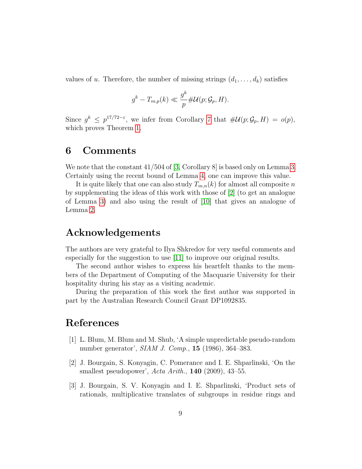values of u. Therefore, the number of missing strings  $(d_1, \ldots, d_k)$  satisfies

$$
g^k - T_{m,p}(k) \ll \frac{g^k}{p} \# \mathcal{U}(p; \mathcal{G}_p, H).
$$

Since  $g^k \n\t\leq p^{17/72-\epsilon}$ , we infer from Corollary [7](#page-6-2) that  $\#\mathcal{U}(p;\mathcal{G}_p,H) = o(p)$ , which proves Theorem [1.](#page-1-0)

### 6 Comments

We note that the constant  $41/504$  of [\[3,](#page-8-0) Corollary 8] is based only on Lemma [3.](#page-2-1) Certainly using the recent bound of Lemma [4,](#page-2-2) one can improve this value.

It is quite likely that one can also study  $T_{m,n}(k)$  for almost all composite n by supplementing the ideas of this work with those of [\[2\]](#page-8-2) (to get an analogue of Lemma [3\)](#page-2-1) and also using the result of [\[10\]](#page-9-7) that gives an analogue of Lemma [2.](#page-2-3)

### Acknowledgements

The authors are very grateful to Ilya Shkredov for very useful comments and especially for the suggestion to use [\[11\]](#page-9-5) to improve our original results.

The second author wishes to express his heartfelt thanks to the members of the Department of Computing of the Macquarie University for their hospitality during his stay as a visiting academic.

During the preparation of this work the first author was supported in part by the Australian Research Council Grant DP1092835.

### References

- <span id="page-8-1"></span>[1] L. Blum, M. Blum and M. Shub, 'A simple unpredictable pseudo-random number generator', SIAM J. Comp., 15 (1986), 364–383.
- <span id="page-8-2"></span>[2] J. Bourgain, S. Konyagin, C. Pomerance and I. E. Shparlinski, 'On the smallest pseudopower', Acta Arith., 140 (2009), 43-55.
- <span id="page-8-0"></span>[3] J. Bourgain, S. V. Konyagin and I. E. Shparlinski, 'Product sets of rationals, multiplicative translates of subgroups in residue rings and